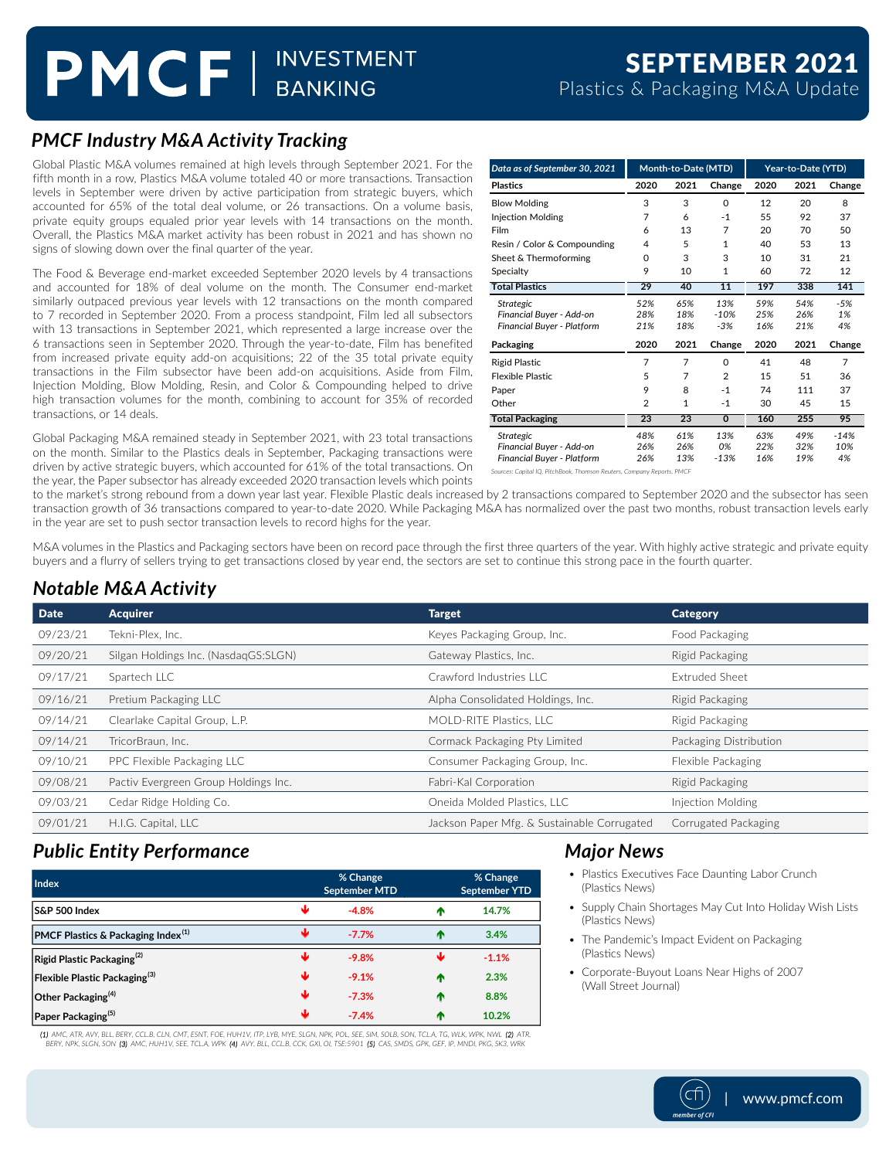# PMCF | INVESTMENT

### *PMCF Industry M&A Activity Tracking*

Global Plastic M&A volumes remained at high levels through September 2021. For the fifth month in a row, Plastics M&A volume totaled 40 or more transactions. Transaction levels in September were driven by active participation from strategic buyers, which accounted for 65% of the total deal volume, or 26 transactions. On a volume basis, private equity groups equaled prior year levels with 14 transactions on the month. Overall, the Plastics M&A market activity has been robust in 2021 and has shown no signs of slowing down over the final quarter of the year.

The Food & Beverage end-market exceeded September 2020 levels by 4 transactions and accounted for 18% of deal volume on the month. The Consumer end-market similarly outpaced previous year levels with 12 transactions on the month compared to 7 recorded in September 2020. From a process standpoint, Film led all subsectors with 13 transactions in September 2021, which represented a large increase over the 6 transactions seen in September 2020. Through the year-to-date, Film has benefited from increased private equity add-on acquisitions; 22 of the 35 total private equity transactions in the Film subsector have been add-on acquisitions. Aside from Film, Injection Molding, Blow Molding, Resin, and Color & Compounding helped to drive high transaction volumes for the month, combining to account for 35% of recorded transactions, or 14 deals.

Global Packaging M&A remained steady in September 2021, with 23 total transactions on the month. Similar to the Plastics deals in September, Packaging transactions were driven by active strategic buyers, which accounted for 61% of the total transactions. On the year, the Paper subsector has already exceeded 2020 transaction levels which points

| Data as of September 30, 2021     | Month-to-Date (MTD) |      |                | Year-to-Date (YTD) |      |        |
|-----------------------------------|---------------------|------|----------------|--------------------|------|--------|
| <b>Plastics</b>                   | 2020                | 2021 | Change         | 2020               | 2021 | Change |
| <b>Blow Molding</b>               | 3                   | 3    | $\Omega$       | 12                 | 20   | 8      |
| <b>Injection Molding</b>          | 7                   | 6    | $-1$           | 55                 | 92   | 37     |
| Film                              | 6                   | 13   | 7              | 20                 | 70   | 50     |
| Resin / Color & Compounding       | 4                   | 5    | 1              | 40                 | 53   | 13     |
| Sheet & Thermoforming             | O                   | 3    | 3              | 10                 | 31   | 21     |
| Specialty                         | 9                   | 10   | 1              | 60                 | 72   | 12     |
| <b>Total Plastics</b>             | 29                  | 40   | 11             | 197                | 338  | 141    |
| <b>Strategic</b>                  | 52%                 | 65%  | 13%            | 59%                | 54%  | $-5%$  |
| Financial Buver - Add-on          | 28%                 | 18%  | $-10%$         | 25%                | 26%  | 1%     |
| Financial Buyer - Platform        | 21%                 | 18%  | $-3%$          | 16%                | 21%  | 4%     |
| Packaging                         | 2020                | 2021 | Change         | 2020               | 2021 | Change |
| <b>Rigid Plastic</b>              | 7                   | 7    | $\Omega$       | 41                 | 48   | 7      |
| <b>Flexible Plastic</b>           | 5                   | 7    | $\overline{2}$ | 15                 | 51   | 36     |
| Paper                             | 9                   | 8    | $-1$           | 74                 | 111  | 37     |
| Other                             | $\overline{2}$      | 1    | $-1$           | 30                 | 45   | 15     |
| <b>Total Packaging</b>            | 23                  | 23   | $\mathbf 0$    | 160                | 255  | 95     |
| Strategic                         | 48%                 | 61%  | 13%            | 63%                | 49%  | $-14%$ |
| Financial Buyer - Add-on          | 26%                 | 26%  | 0%             | 22%                | 32%  | 10%    |
| <b>Financial Buver - Platform</b> | 26%                 | 13%  | $-13%$         | 16%                | 19%  | 4%     |

to the market's strong rebound from a down year last year. Flexible Plastic deals increased by 2 transactions compared to September 2020 and the subsector has seen transaction growth of 36 transactions compared to year-to-date 2020. While Packaging M&A has normalized over the past two months, robust transaction levels early in the year are set to push sector transaction levels to record highs for the year.

M&A volumes in the Plastics and Packaging sectors have been on record pace through the first three quarters of the year. With highly active strategic and private equity buyers and a flurry of sellers trying to get transactions closed by year end, the sectors are set to continue this strong pace in the fourth quarter.

### *Notable M&A Activity*

| <b>Date</b> | <b>Acquirer</b>                      | <b>Target</b>                               | <b>Category</b>        |
|-------------|--------------------------------------|---------------------------------------------|------------------------|
| 09/23/21    | Tekni-Plex. Inc.                     | Keyes Packaging Group, Inc.                 | Food Packaging         |
| 09/20/21    | Silgan Holdings Inc. (NasdagGS:SLGN) | Gateway Plastics, Inc.                      | Rigid Packaging        |
| 09/17/21    | Spartech LLC                         | Crawford Industries LLC                     | <b>Extruded Sheet</b>  |
| 09/16/21    | Pretium Packaging LLC                | Alpha Consolidated Holdings, Inc.           | Rigid Packaging        |
| 09/14/21    | Clearlake Capital Group, L.P.        | MOLD-RITE Plastics, LLC                     | Rigid Packaging        |
| 09/14/21    | TricorBraun, Inc.                    | Cormack Packaging Pty Limited               | Packaging Distribution |
| 09/10/21    | PPC Flexible Packaging LLC           | Consumer Packaging Group, Inc.              | Flexible Packaging     |
| 09/08/21    | Pactiv Evergreen Group Holdings Inc. | Fabri-Kal Corporation                       | Rigid Packaging        |
| 09/03/21    | Cedar Ridge Holding Co.              | Oneida Molded Plastics, LLC                 | Injection Molding      |
| 09/01/21    | H.I.G. Capital, LLC                  | Jackson Paper Mfg. & Sustainable Corrugated | Corrugated Packaging   |

### *Public Entity Performance*

| Index                                          |   | % Change<br>September MTD |   | % Change<br>September YTD |
|------------------------------------------------|---|---------------------------|---|---------------------------|
| <b>IS&amp;P 500 Index</b>                      | Ψ | $-4.8%$                   | m | 14.7%                     |
| PMCF Plastics & Packaging Index <sup>(1)</sup> | Ψ | $-7.7%$                   | æ | 3.4%                      |
| Rigid Plastic Packaging <sup>(2)</sup>         | Ψ | $-9.8%$                   | ш | $-1.1%$                   |
| Flexible Plastic Packaging <sup>(3)</sup>      | ₩ | $-9.1%$                   | Φ | 2.3%                      |
| Other Packaging <sup>(4)</sup>                 | ₩ | $-7.3%$                   | æ | 8.8%                      |
| Paper Packaging <sup>(5)</sup>                 | Ψ | $-7.4%$                   | æ | 10.2%                     |

(1) AMC, ATR, AVY, BLL, BERY, CCL.B, CLN, CMT, ESNT, FOE, HUH1V, ITP, LYB, MYE, SLGN, NPK, POL, SEE, SIM, SOLB, SON, TCL.A, TG, WLK, WPK, NWL (2) ATR, BERY, NPK, SLGN, SON **(3)** AMC, HUH1V, SEE, TCL.A, WPK **(4)** AVY, BLL, CCL.B, CCK, GXI, OI, TSE:5901 **(5)** CAS, SMDS, GPK, GEF, IP, MNDI, PKG, SK3,

### *Major News*

- Plastics Executives Face Daunting Labor Crunch (Plastics News)
- Supply Chain Shortages May Cut Into Holiday Wish Lists (Plastics News)
- The Pandemic's Impact Evident on Packaging (Plastics News)
- Corporate-Buyout Loans Near Highs of 2007 (Wall Street Journal)

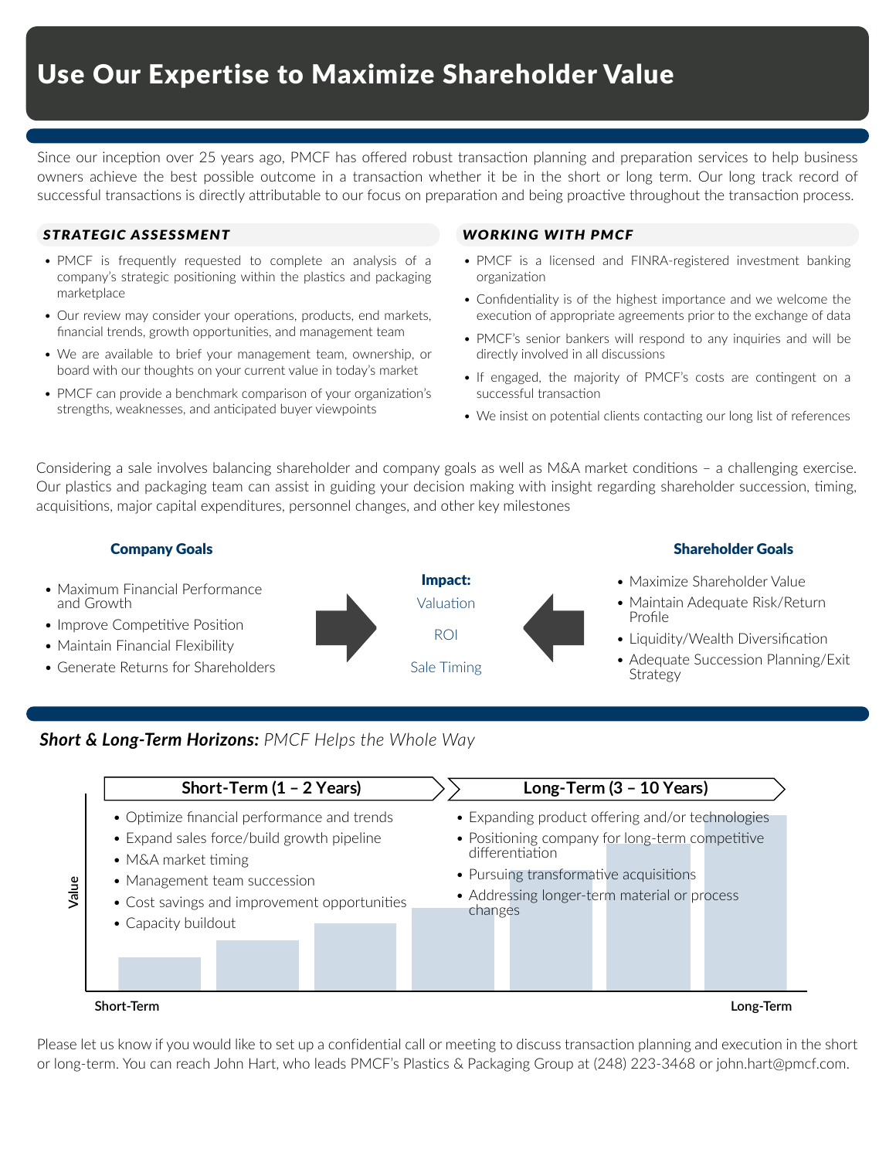Since our inception over 25 years ago, PMCF has offered robust transaction planning and preparation services to help business owners achieve the best possible outcome in a transaction whether it be in the short or long term. Our long track record of successful transactions is directly attributable to our focus on preparation and being proactive throughout the transaction process.

### *STRATEGIC ASSESSMENT WORKING WITH PMCF*

- PMCF is frequently requested to complete an analysis of a company's strategic positioning within the plastics and packaging marketplace
- Our review may consider your operations, products, end markets, financial trends, growth opportunities, and management team
- We are available to brief your management team, ownership, or board with our thoughts on your current value in today's market
- PMCF can provide a benchmark comparison of your organization's strengths, weaknesses, and anticipated buyer viewpoints

- PMCF is a licensed and FINRA-registered investment banking organization
- Confidentiality is of the highest importance and we welcome the execution of appropriate agreements prior to the exchange of data
- PMCF's senior bankers will respond to any inquiries and will be directly involved in all discussions
- If engaged, the majority of PMCF's costs are contingent on a successful transaction
- We insist on potential clients contacting our long list of references

Considering a sale involves balancing shareholder and company goals as well as M&A market conditions – a challenging exercise. Our plastics and packaging team can assist in guiding your decision making with insight regarding shareholder succession, timing, acquisitions, major capital expenditures, personnel changes, and other key milestones



### *Short & Long-Term Horizons: PMCF Helps the Whole Way*



Please let us know if you would like to set up a confidential call or meeting to discuss transaction planning and execution in the short or long-term. You can reach John Hart, who leads PMCF's Plastics & Packaging Group at (248) 223-3468 or john.hart@pmcf.com.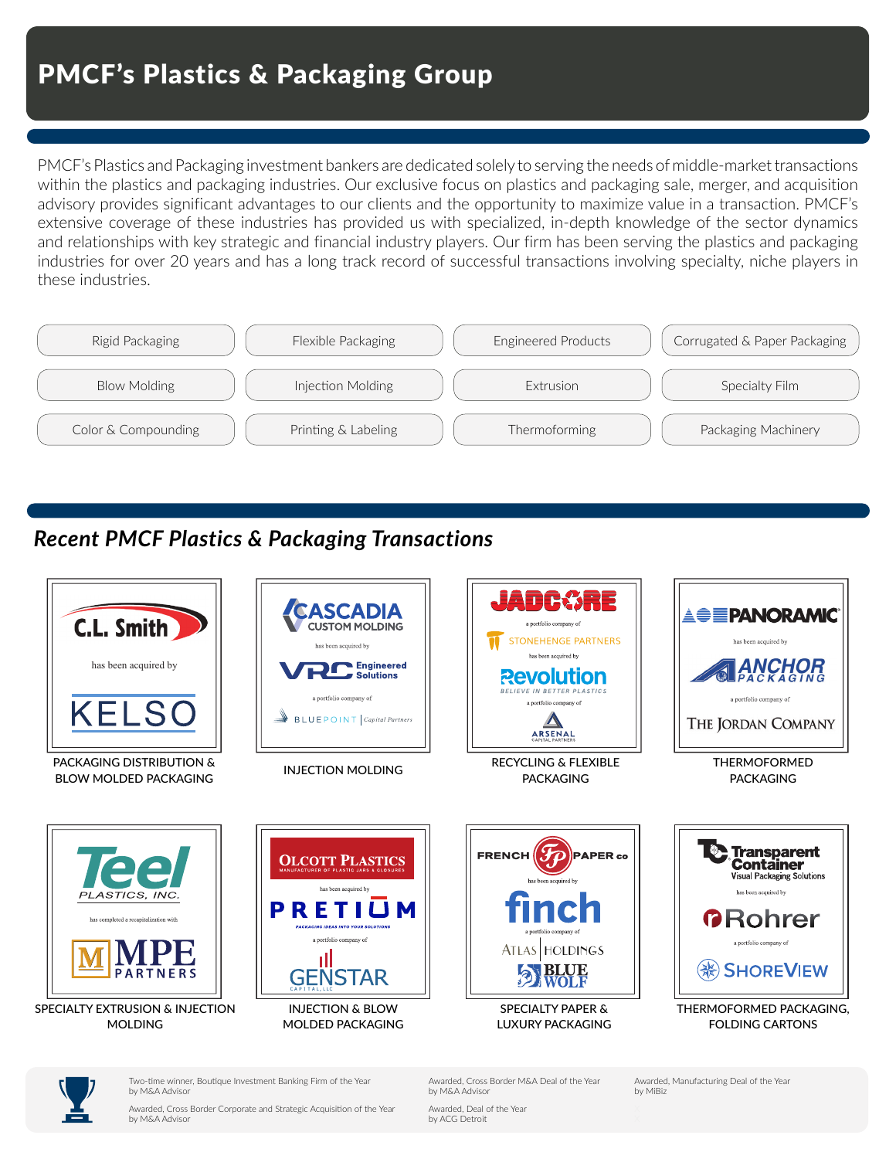PMCF's Plastics and Packaging investment bankers are dedicated solely to serving the needs of middle-market transactions within the plastics and packaging industries. Our exclusive focus on plastics and packaging sale, merger, and acquisition advisory provides significant advantages to our clients and the opportunity to maximize value in a transaction. PMCF's extensive coverage of these industries has provided us with specialized, in-depth knowledge of the sector dynamics and relationships with key strategic and financial industry players. Our firm has been serving the plastics and packaging industries for over 20 years and has a long track record of successful transactions involving specialty, niche players in these industries.



### *Recent PMCF Plastics & Packaging Transactions*





Two-time winner, Boutique Investment Banking Firm of the Year by M&A Advisor

Awarded, Cross Border Corporate and Strategic Acquisition of the Year by M&A Advisor

Awarded, Cross Border M&A Deal of the Year by M&A Advisor

Awarded, Deal of the Year by ACG Detroit

Awarded, Manufacturing Deal of the Year by MiBiz